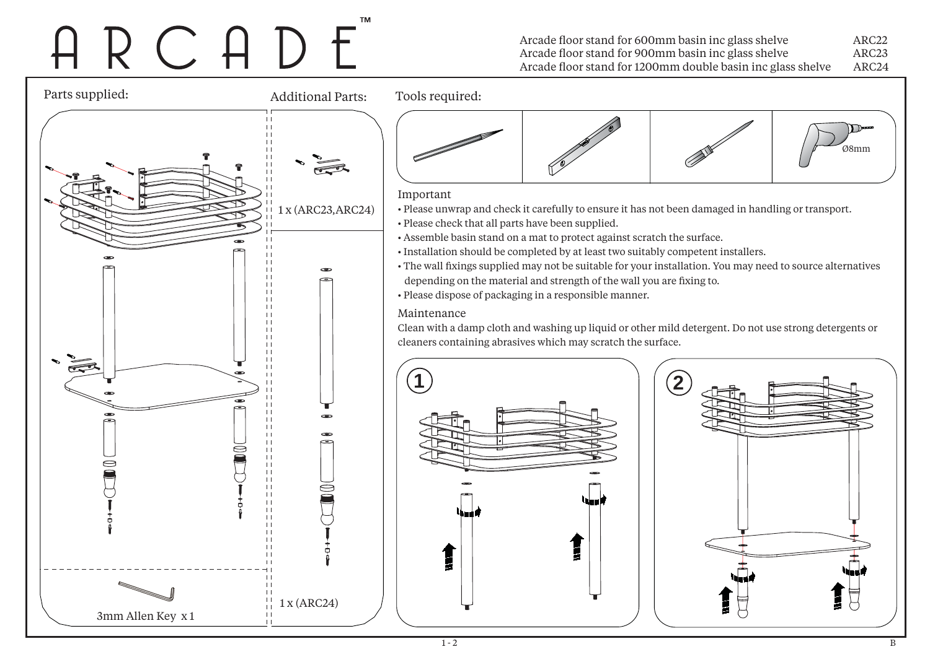## I R C A D E

Arcade floor stand for 600mm basin inc glass shelve ARC22 Arcade floor stand for 900mm basin inc glass shelve ARC23 Arcade floor stand for 1200mm double basin inc glass shelve ARC24

Parts supplied: Additional Parts:Tools required: Ø8mmImportant 1 x (ARC23,ARC24) • Please unwrap and check it carefully to ensure it has not been damaged in handling or transport. • Please check that all parts have been supplied. • Assemble basin stand on a mat to protect against scratch the surface. • Installation should be completed by at least two suitably competent installers. • The wall fixings supplied may not be suitable for your installation. You may need to source alternatives  $\perp$  depending on the material and strength of the wall you are fixing to.  $\overline{1}$ • Please dispose of packaging in a responsible manner.  $\vert \vert$  $\overline{11}$ Maintenance $\overline{1}$  $\overline{1}$ Clean with a damp cloth and washing up liquid or other mild detergent. Do not use strong detergents or  $\blacksquare$ cleaners containing abrasives which may scratch the surface. **12** $\perp$  $\overline{1}$  $\overline{1}$  $\mathbf{L}$  $\approx$  $\overline{1}$  $\overline{1}$  1 x (ARC24) 3mm Allen Key x 1 $\mathbf{L}$